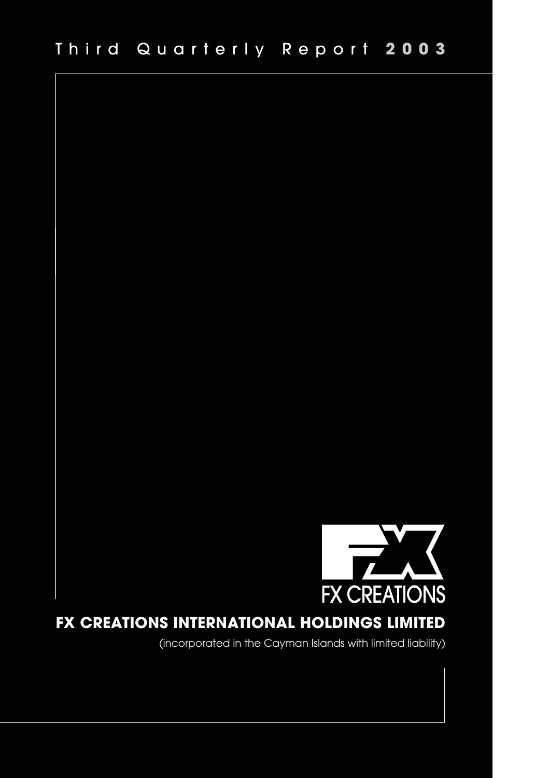

# **FX CREATIONS INTERNATIONAL HOLDINGS LIMITED**

(incorporated in the Cayman Islands with limited liability)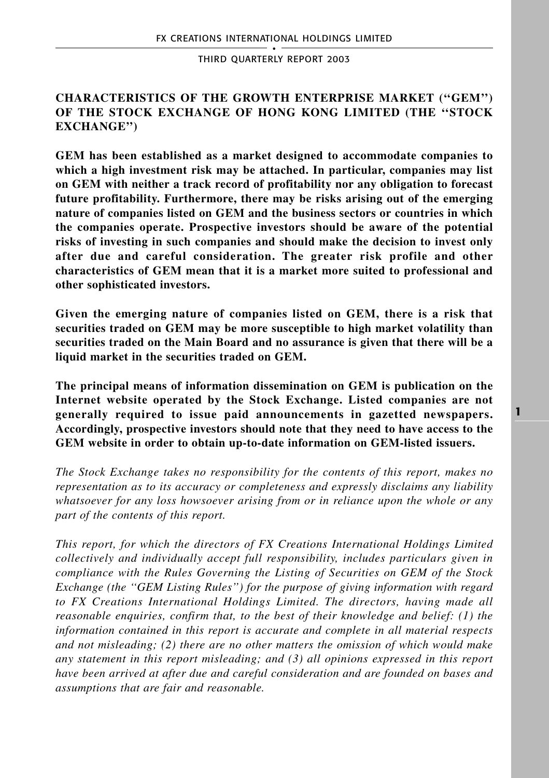# **CHARACTERISTICS OF THE GROWTH ENTERPRISE MARKET (''GEM'') OF THE STOCK EXCHANGE OF HONG KONG LIMITED (THE ''STOCK EXCHANGE'')**

**GEM has been established as a market designed to accommodate companies to which a high investment risk may be attached. In particular, companies may list on GEM with neither a track record of profitability nor any obligation to forecast future profitability. Furthermore, there may be risks arising out of the emerging nature of companies listed on GEM and the business sectors or countries in which the companies operate. Prospective investors should be aware of the potential risks of investing in such companies and should make the decision to invest only after due and careful consideration. The greater risk profile and other characteristics of GEM mean that it is a market more suited to professional and other sophisticated investors.**

**Given the emerging nature of companies listed on GEM, there is a risk that securities traded on GEM may be more susceptible to high market volatility than securities traded on the Main Board and no assurance is given that there will be a liquid market in the securities traded on GEM.**

**The principal means of information dissemination on GEM is publication on the Internet website operated by the Stock Exchange. Listed companies are not generally required to issue paid announcements in gazetted newspapers. Accordingly, prospective investors should note that they need to have access to the GEM website in order to obtain up-to-date information on GEM-listed issuers.**

*The Stock Exchange takes no responsibility for the contents of this report, makes no representation as to its accuracy or completeness and expressly disclaims any liability whatsoever for any loss howsoever arising from or in reliance upon the whole or any part of the contents of this report.*

*This report, for which the directors of FX Creations International Holdings Limited collectively and individually accept full responsibility, includes particulars given in compliance with the Rules Governing the Listing of Securities on GEM of the Stock Exchange (the ''GEM Listing Rules'') for the purpose of giving information with regard to FX Creations International Holdings Limited. The directors, having made all reasonable enquiries, confirm that, to the best of their knowledge and belief: (1) the information contained in this report is accurate and complete in all material respects and not misleading; (2) there are no other matters the omission of which would make any statement in this report misleading; and (3) all opinions expressed in this report have been arrived at after due and careful consideration and are founded on bases and assumptions that are fair and reasonable.*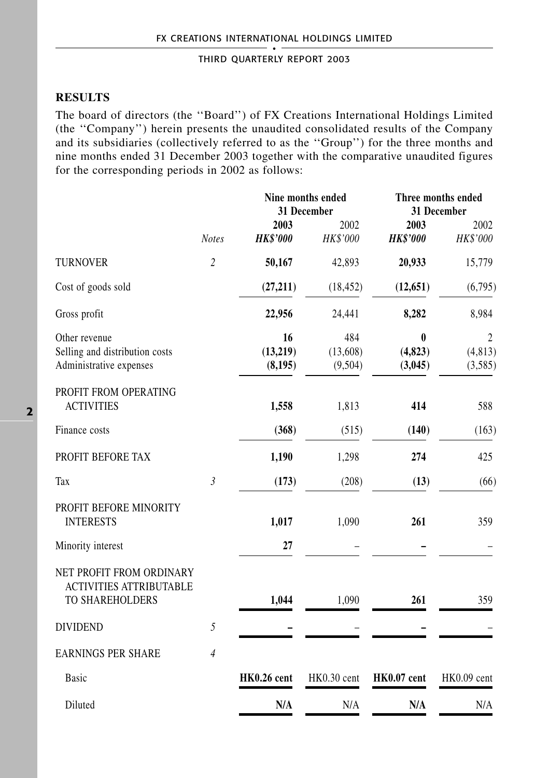# **RESULTS**

The board of directors (the ''Board'') of FX Creations International Holdings Limited (the ''Company'') herein presents the unaudited consolidated results of the Company and its subsidiaries (collectively referred to as the ''Group'') for the three months and nine months ended 31 December 2003 together with the comparative unaudited figures for the corresponding periods in 2002 as follows:

|                                                                               |                | Nine months ended<br>31 December |                            | Three months ended<br>31 December |                                       |
|-------------------------------------------------------------------------------|----------------|----------------------------------|----------------------------|-----------------------------------|---------------------------------------|
|                                                                               | <b>Notes</b>   | 2003<br><b>HK\$'000</b>          | 2002<br>HK\$'000           | 2003<br><b>HK\$'000</b>           | 2002<br>HK\$'000                      |
| <b>TURNOVER</b>                                                               | $\overline{c}$ | 50,167                           | 42,893                     | 20,933                            | 15,779                                |
| Cost of goods sold                                                            |                | (27,211)                         | (18, 452)                  | (12, 651)                         | (6,795)                               |
| Gross profit                                                                  |                | 22,956                           | 24,441                     | 8,282                             | 8,984                                 |
| Other revenue<br>Selling and distribution costs<br>Administrative expenses    |                | 16<br>(13,219)<br>(8, 195)       | 484<br>(13,608)<br>(9,504) | $\bf{0}$<br>(4, 823)<br>(3,045)   | $\overline{2}$<br>(4, 813)<br>(3,585) |
| PROFIT FROM OPERATING<br><b>ACTIVITIES</b>                                    |                | 1,558                            | 1,813                      | 414                               | 588                                   |
| Finance costs                                                                 |                | (368)                            | (515)                      | (140)                             | (163)                                 |
| PROFIT BEFORE TAX                                                             |                | 1,190                            | 1,298                      | 274                               | 425                                   |
| Tax                                                                           | $\mathfrak{Z}$ | (173)                            | (208)                      | (13)                              | (66)                                  |
| PROFIT BEFORE MINORITY<br><b>INTERESTS</b>                                    |                | 1,017                            | 1,090                      | 261                               | 359                                   |
| Minority interest                                                             |                | 27                               |                            |                                   |                                       |
| NET PROFIT FROM ORDINARY<br><b>ACTIVITIES ATTRIBUTABLE</b><br>TO SHAREHOLDERS |                | 1,044                            | 1,090                      | 261                               | 359                                   |
| <b>DIVIDEND</b>                                                               | 5              |                                  |                            |                                   |                                       |
| <b>EARNINGS PER SHARE</b>                                                     | $\overline{4}$ |                                  |                            |                                   |                                       |
| Basic                                                                         |                | HK0.26 cent                      | HK0.30 cent                | HK0.07 cent                       | HK0.09 cent                           |
| Diluted                                                                       |                | N/A                              | N/A                        | N/A                               | N/A                                   |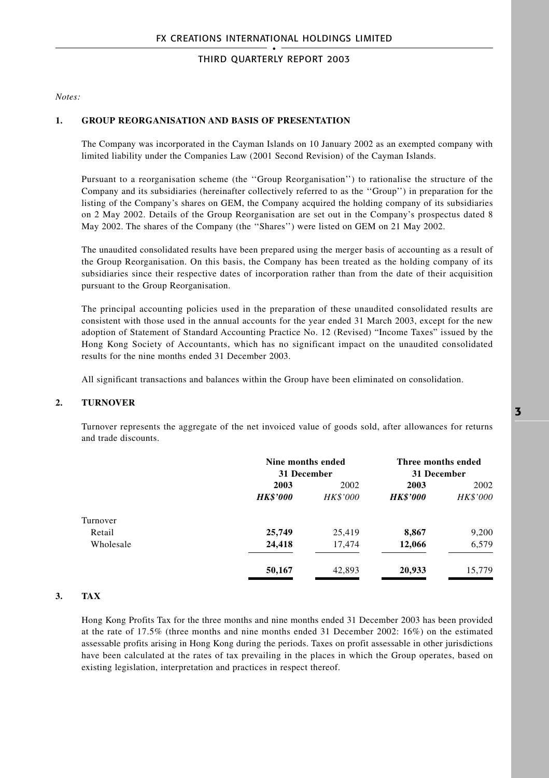*Notes:*

#### **1. GROUP REORGANISATION AND BASIS OF PRESENTATION**

The Company was incorporated in the Cayman Islands on 10 January 2002 as an exempted company with limited liability under the Companies Law (2001 Second Revision) of the Cayman Islands.

Pursuant to a reorganisation scheme (the ''Group Reorganisation'') to rationalise the structure of the Company and its subsidiaries (hereinafter collectively referred to as the ''Group'') in preparation for the listing of the Company's shares on GEM, the Company acquired the holding company of its subsidiaries on 2 May 2002. Details of the Group Reorganisation are set out in the Company's prospectus dated 8 May 2002. The shares of the Company (the "Shares") were listed on GEM on 21 May 2002.

The unaudited consolidated results have been prepared using the merger basis of accounting as a result of the Group Reorganisation. On this basis, the Company has been treated as the holding company of its subsidiaries since their respective dates of incorporation rather than from the date of their acquisition pursuant to the Group Reorganisation.

The principal accounting policies used in the preparation of these unaudited consolidated results are consistent with those used in the annual accounts for the year ended 31 March 2003, except for the new adoption of Statement of Standard Accounting Practice No. 12 (Revised) "Income Taxes" issued by the Hong Kong Society of Accountants, which has no significant impact on the unaudited consolidated results for the nine months ended 31 December 2003.

All significant transactions and balances within the Group have been eliminated on consolidation.

### **2. TURNOVER**

Turnover represents the aggregate of the net invoiced value of goods sold, after allowances for returns and trade discounts.

|           |                 | Nine months ended<br>31 December |                 | Three months ended<br>31 December |  |
|-----------|-----------------|----------------------------------|-----------------|-----------------------------------|--|
|           | 2003            | 2002                             | 2003            | 2002                              |  |
|           | <b>HK\$'000</b> | <b>HK\$'000</b>                  | <b>HK\$'000</b> | <b>HK\$'000</b>                   |  |
| Turnover  |                 |                                  |                 |                                   |  |
| Retail    | 25,749          | 25,419                           | 8,867           | 9,200                             |  |
| Wholesale | 24,418          | 17,474                           | 12,066          | 6,579                             |  |
|           | 50,167          | 42,893                           | 20,933          | 15,779                            |  |

### **3. TAX**

Hong Kong Profits Tax for the three months and nine months ended 31 December 2003 has been provided at the rate of 17.5% (three months and nine months ended 31 December 2002: 16%) on the estimated assessable profits arising in Hong Kong during the periods. Taxes on profit assessable in other jurisdictions have been calculated at the rates of tax prevailing in the places in which the Group operates, based on existing legislation, interpretation and practices in respect thereof.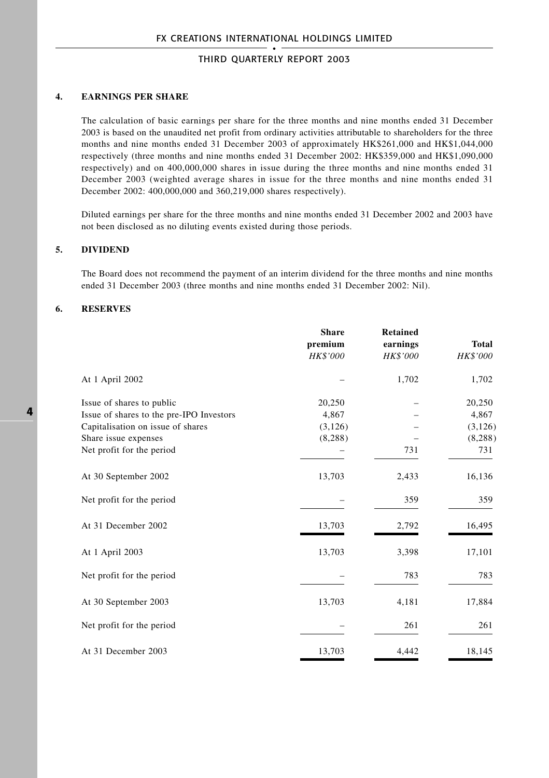### **4. EARNINGS PER SHARE**

The calculation of basic earnings per share for the three months and nine months ended 31 December 2003 is based on the unaudited net profit from ordinary activities attributable to shareholders for the three months and nine months ended 31 December 2003 of approximately HK\$261,000 and HK\$1,044,000 respectively (three months and nine months ended 31 December 2002: HK\$359,000 and HK\$1,090,000 respectively) and on 400,000,000 shares in issue during the three months and nine months ended 31 December 2003 (weighted average shares in issue for the three months and nine months ended 31 December 2002: 400,000,000 and 360,219,000 shares respectively).

Diluted earnings per share for the three months and nine months ended 31 December 2002 and 2003 have not been disclosed as no diluting events existed during those periods.

#### **5. DIVIDEND**

The Board does not recommend the payment of an interim dividend for the three months and nine months ended 31 December 2003 (three months and nine months ended 31 December 2002: Nil).

#### **6. RESERVES**

|                                                           | <b>Share</b><br>premium<br>HK\$'000 | <b>Retained</b><br>earnings<br><b>HK\$'000</b> | <b>Total</b><br>HK\$'000 |
|-----------------------------------------------------------|-------------------------------------|------------------------------------------------|--------------------------|
| At 1 April 2002                                           |                                     | 1,702                                          | 1,702                    |
| Issue of shares to public                                 | 20,250                              |                                                | 20,250                   |
| Issue of shares to the pre-IPO Investors                  | 4,867                               |                                                | 4,867                    |
| Capitalisation on issue of shares<br>Share issue expenses | (3,126)<br>(8, 288)                 |                                                | (3, 126)                 |
| Net profit for the period                                 |                                     | 731                                            | (8, 288)<br>731          |
| At 30 September 2002                                      | 13,703                              | 2,433                                          | 16,136                   |
| Net profit for the period                                 |                                     | 359                                            | 359                      |
| At 31 December 2002                                       | 13,703                              | 2,792                                          | 16,495                   |
| At 1 April 2003                                           | 13,703                              | 3,398                                          | 17,101                   |
| Net profit for the period                                 |                                     | 783                                            | 783                      |
| At 30 September 2003                                      | 13,703                              | 4,181                                          | 17,884                   |
| Net profit for the period                                 |                                     | 261                                            | 261                      |
| At 31 December 2003                                       | 13,703                              | 4,442                                          | 18,145                   |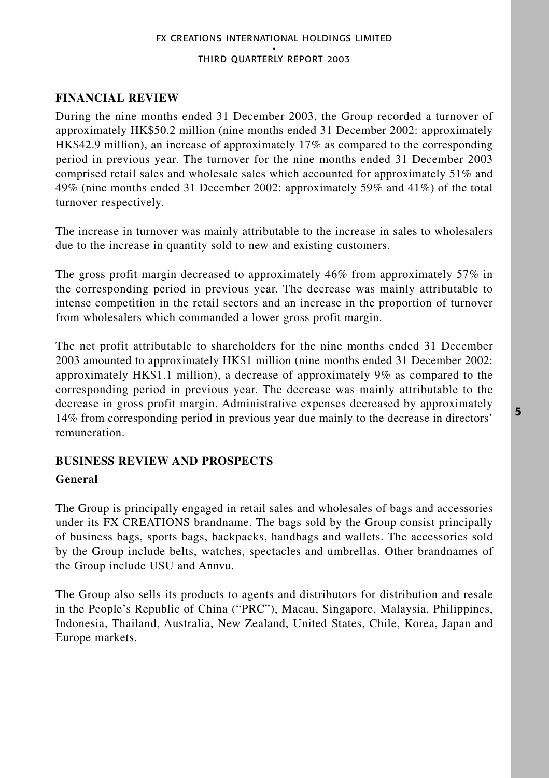# **FINANCIAL REVIEW**

During the nine months ended 31 December 2003, the Group recorded a turnover of approximately HK\$50.2 million (nine months ended 31 December 2002: approximately HK\$42.9 million), an increase of approximately 17% as compared to the corresponding period in previous year. The turnover for the nine months ended 31 December 2003 comprised retail sales and wholesale sales which accounted for approximately 51% and 49% (nine months ended 31 December 2002: approximately 59% and 41%) of the total turnover respectively.

The increase in turnover was mainly attributable to the increase in sales to wholesalers due to the increase in quantity sold to new and existing customers.

The gross profit margin decreased to approximately 46% from approximately 57% in the corresponding period in previous year. The decrease was mainly attributable to intense competition in the retail sectors and an increase in the proportion of turnover from wholesalers which commanded a lower gross profit margin.

The net profit attributable to shareholders for the nine months ended 31 December 2003 amounted to approximately HK\$1 million (nine months ended 31 December 2002: approximately HK\$1.1 million), a decrease of approximately 9% as compared to the corresponding period in previous year. The decrease was mainly attributable to the decrease in gross profit margin. Administrative expenses decreased by approximately 14% from corresponding period in previous year due mainly to the decrease in directors' remuneration.

# **BUSINESS REVIEW AND PROSPECTS**

### **General**

The Group is principally engaged in retail sales and wholesales of bags and accessories under its FX CREATIONS brandname. The bags sold by the Group consist principally of business bags, sports bags, backpacks, handbags and wallets. The accessories sold by the Group include belts, watches, spectacles and umbrellas. Other brandnames of the Group include USU and Annvu.

The Group also sells its products to agents and distributors for distribution and resale in the People's Republic of China ("PRC"), Macau, Singapore, Malaysia, Philippines, Indonesia, Thailand, Australia, New Zealand, United States, Chile, Korea, Japan and Europe markets.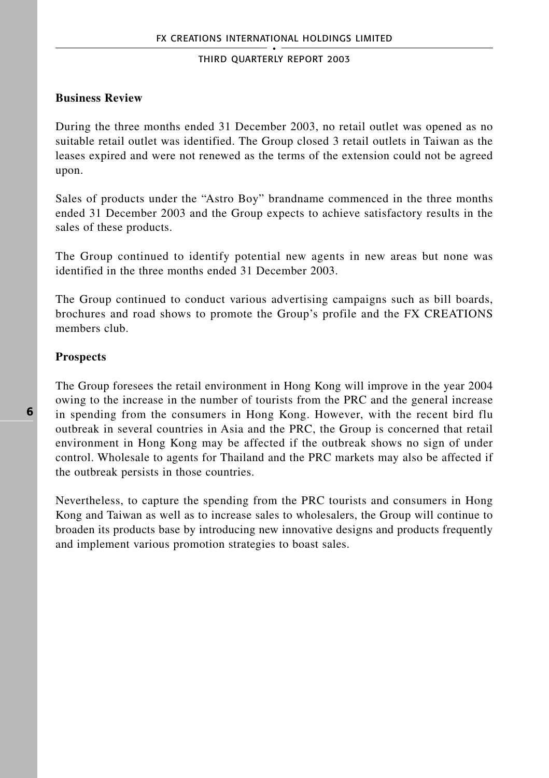### **Business Review**

During the three months ended 31 December 2003, no retail outlet was opened as no suitable retail outlet was identified. The Group closed 3 retail outlets in Taiwan as the leases expired and were not renewed as the terms of the extension could not be agreed upon.

Sales of products under the "Astro Boy" brandname commenced in the three months ended 31 December 2003 and the Group expects to achieve satisfactory results in the sales of these products.

The Group continued to identify potential new agents in new areas but none was identified in the three months ended 31 December 2003.

The Group continued to conduct various advertising campaigns such as bill boards, brochures and road shows to promote the Group's profile and the FX CREATIONS members club.

### **Prospects**

The Group foresees the retail environment in Hong Kong will improve in the year 2004 owing to the increase in the number of tourists from the PRC and the general increase in spending from the consumers in Hong Kong. However, with the recent bird flu outbreak in several countries in Asia and the PRC, the Group is concerned that retail environment in Hong Kong may be affected if the outbreak shows no sign of under control. Wholesale to agents for Thailand and the PRC markets may also be affected if the outbreak persists in those countries.

Nevertheless, to capture the spending from the PRC tourists and consumers in Hong Kong and Taiwan as well as to increase sales to wholesalers, the Group will continue to broaden its products base by introducing new innovative designs and products frequently and implement various promotion strategies to boast sales.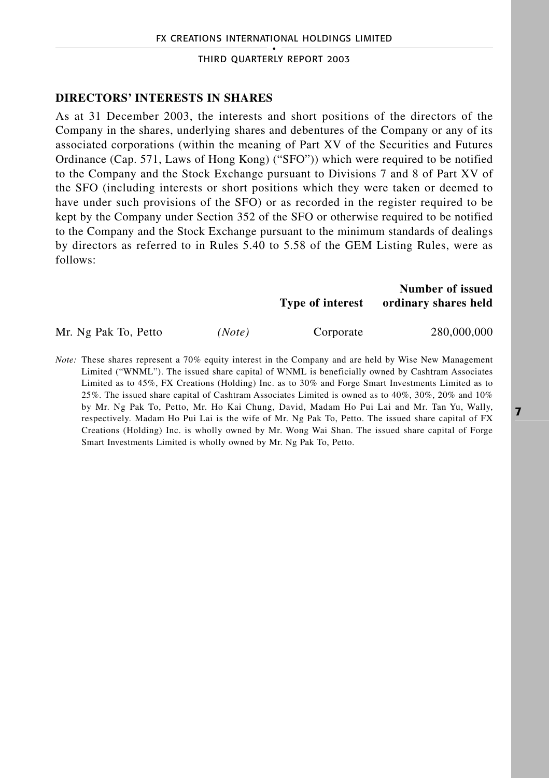### **DIRECTORS' INTERESTS IN SHARES**

As at 31 December 2003, the interests and short positions of the directors of the Company in the shares, underlying shares and debentures of the Company or any of its associated corporations (within the meaning of Part XV of the Securities and Futures Ordinance (Cap. 571, Laws of Hong Kong) ("SFO")) which were required to be notified to the Company and the Stock Exchange pursuant to Divisions 7 and 8 of Part XV of the SFO (including interests or short positions which they were taken or deemed to have under such provisions of the SFO) or as recorded in the register required to be kept by the Company under Section 352 of the SFO or otherwise required to be notified to the Company and the Stock Exchange pursuant to the minimum standards of dealings by directors as referred to in Rules 5.40 to 5.58 of the GEM Listing Rules, were as follows:

### **Number of issued Type of interest ordinary shares held**

Mr. Ng Pak To, Petto *(Note)* Corporate 280,000,000

*Note:* These shares represent a 70% equity interest in the Company and are held by Wise New Management Limited ("WNML"). The issued share capital of WNML is beneficially owned by Cashtram Associates Limited as to 45%, FX Creations (Holding) Inc. as to 30% and Forge Smart Investments Limited as to 25%. The issued share capital of Cashtram Associates Limited is owned as to 40%, 30%, 20% and 10% by Mr. Ng Pak To, Petto, Mr. Ho Kai Chung, David, Madam Ho Pui Lai and Mr. Tan Yu, Wally, respectively. Madam Ho Pui Lai is the wife of Mr. Ng Pak To, Petto. The issued share capital of FX Creations (Holding) Inc. is wholly owned by Mr. Wong Wai Shan. The issued share capital of Forge Smart Investments Limited is wholly owned by Mr. Ng Pak To, Petto.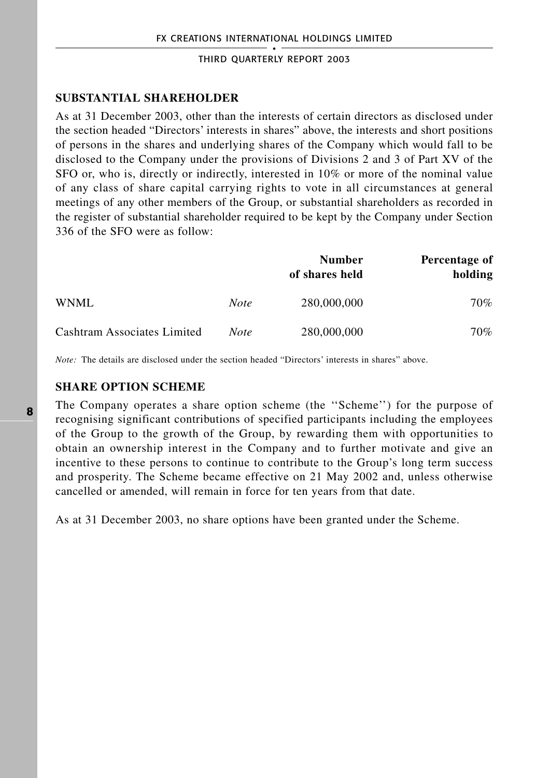# **SUBSTANTIAL SHAREHOLDER**

As at 31 December 2003, other than the interests of certain directors as disclosed under the section headed "Directors' interests in shares" above, the interests and short positions of persons in the shares and underlying shares of the Company which would fall to be disclosed to the Company under the provisions of Divisions 2 and 3 of Part XV of the SFO or, who is, directly or indirectly, interested in 10% or more of the nominal value of any class of share capital carrying rights to vote in all circumstances at general meetings of any other members of the Group, or substantial shareholders as recorded in the register of substantial shareholder required to be kept by the Company under Section 336 of the SFO were as follow:

|                             |             | <b>Number</b><br>of shares held | Percentage of<br>holding |
|-----------------------------|-------------|---------------------------------|--------------------------|
| WNML                        | <b>Note</b> | 280,000,000                     | 70%                      |
| Cashtram Associates Limited | <b>Note</b> | 280,000,000                     | 70%                      |

*Note:* The details are disclosed under the section headed "Directors' interests in shares" above.

### **SHARE OPTION SCHEME**

The Company operates a share option scheme (the ''Scheme'') for the purpose of recognising significant contributions of specified participants including the employees of the Group to the growth of the Group, by rewarding them with opportunities to obtain an ownership interest in the Company and to further motivate and give an incentive to these persons to continue to contribute to the Group's long term success and prosperity. The Scheme became effective on 21 May 2002 and, unless otherwise cancelled or amended, will remain in force for ten years from that date.

As at 31 December 2003, no share options have been granted under the Scheme.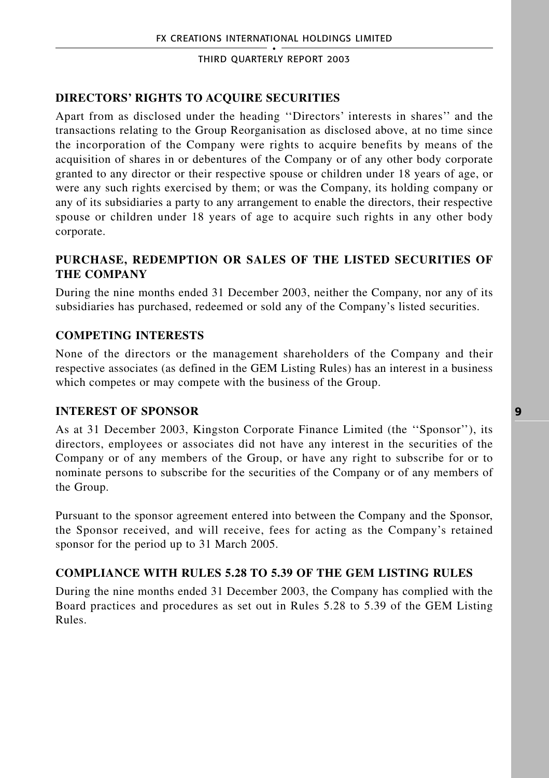# **DIRECTORS' RIGHTS TO ACQUIRE SECURITIES**

Apart from as disclosed under the heading ''Directors' interests in shares'' and the transactions relating to the Group Reorganisation as disclosed above, at no time since the incorporation of the Company were rights to acquire benefits by means of the acquisition of shares in or debentures of the Company or of any other body corporate granted to any director or their respective spouse or children under 18 years of age, or were any such rights exercised by them; or was the Company, its holding company or any of its subsidiaries a party to any arrangement to enable the directors, their respective spouse or children under 18 years of age to acquire such rights in any other body corporate.

# **PURCHASE, REDEMPTION OR SALES OF THE LISTED SECURITIES OF THE COMPANY**

During the nine months ended 31 December 2003, neither the Company, nor any of its subsidiaries has purchased, redeemed or sold any of the Company's listed securities.

### **COMPETING INTERESTS**

None of the directors or the management shareholders of the Company and their respective associates (as defined in the GEM Listing Rules) has an interest in a business which competes or may compete with the business of the Group.

### **INTEREST OF SPONSOR**

As at 31 December 2003, Kingston Corporate Finance Limited (the ''Sponsor''), its directors, employees or associates did not have any interest in the securities of the Company or of any members of the Group, or have any right to subscribe for or to nominate persons to subscribe for the securities of the Company or of any members of the Group.

Pursuant to the sponsor agreement entered into between the Company and the Sponsor, the Sponsor received, and will receive, fees for acting as the Company's retained sponsor for the period up to 31 March 2005.

### **COMPLIANCE WITH RULES 5.28 TO 5.39 OF THE GEM LISTING RULES**

During the nine months ended 31 December 2003, the Company has complied with the Board practices and procedures as set out in Rules 5.28 to 5.39 of the GEM Listing Rules.